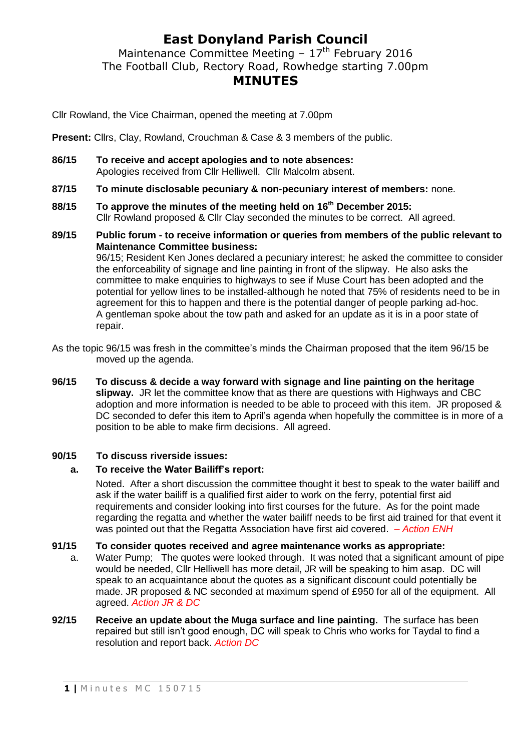# **East Donyland Parish Council**

Maintenance Committee Meeting  $-17<sup>th</sup>$  February 2016 The Football Club, Rectory Road, Rowhedge starting 7.00pm **MINUTES**

Cllr Rowland, the Vice Chairman, opened the meeting at 7.00pm

**Present:** Cllrs, Clay, Rowland, Crouchman & Case & 3 members of the public.

- **86/15 To receive and accept apologies and to note absences:** Apologies received from Cllr Helliwell. Cllr Malcolm absent.
- **87/15 To minute disclosable pecuniary & non-pecuniary interest of members:** none.
- **88/15 To approve the minutes of the meeting held on 16th December 2015:** Cllr Rowland proposed & Cllr Clay seconded the minutes to be correct. All agreed.
- **89/15 Public forum - to receive information or queries from members of the public relevant to Maintenance Committee business:** 96/15; Resident Ken Jones declared a pecuniary interest; he asked the committee to consider the enforceability of signage and line painting in front of the slipway. He also asks the committee to make enquiries to highways to see if Muse Court has been adopted and the

potential for yellow lines to be installed-although he noted that 75% of residents need to be in agreement for this to happen and there is the potential danger of people parking ad-hoc. A gentleman spoke about the tow path and asked for an update as it is in a poor state of repair.

As the topic 96/15 was fresh in the committee's minds the Chairman proposed that the item 96/15 be moved up the agenda.

**96/15 To discuss & decide a way forward with signage and line painting on the heritage slipway.** JR let the committee know that as there are questions with Highways and CBC adoption and more information is needed to be able to proceed with this item. JR proposed & DC seconded to defer this item to April's agenda when hopefully the committee is in more of a position to be able to make firm decisions. All agreed.

### **90/15 To discuss riverside issues:**

### **a. To receive the Water Bailiff's report:**

Noted.After a short discussion the committee thought it best to speak to the water bailiff and ask if the water bailiff is a qualified first aider to work on the ferry, potential first aid requirements and consider looking into first courses for the future. As for the point made regarding the regatta and whether the water bailiff needs to be first aid trained for that event it was pointed out that the Regatta Association have first aid covered. *– Action ENH*

#### **91/15 To consider quotes received and agree maintenance works as appropriate:**

- a. Water Pump; The quotes were looked through. It was noted that a significant amount of pipe would be needed, Cllr Helliwell has more detail, JR will be speaking to him asap. DC will speak to an acquaintance about the quotes as a significant discount could potentially be made. JR proposed & NC seconded at maximum spend of £950 for all of the equipment. All agreed. *Action JR & DC*
- **92/15 Receive an update about the Muga surface and line painting.** The surface has been repaired but still isn't good enough, DC will speak to Chris who works for Taydal to find a resolution and report back. *Action DC*